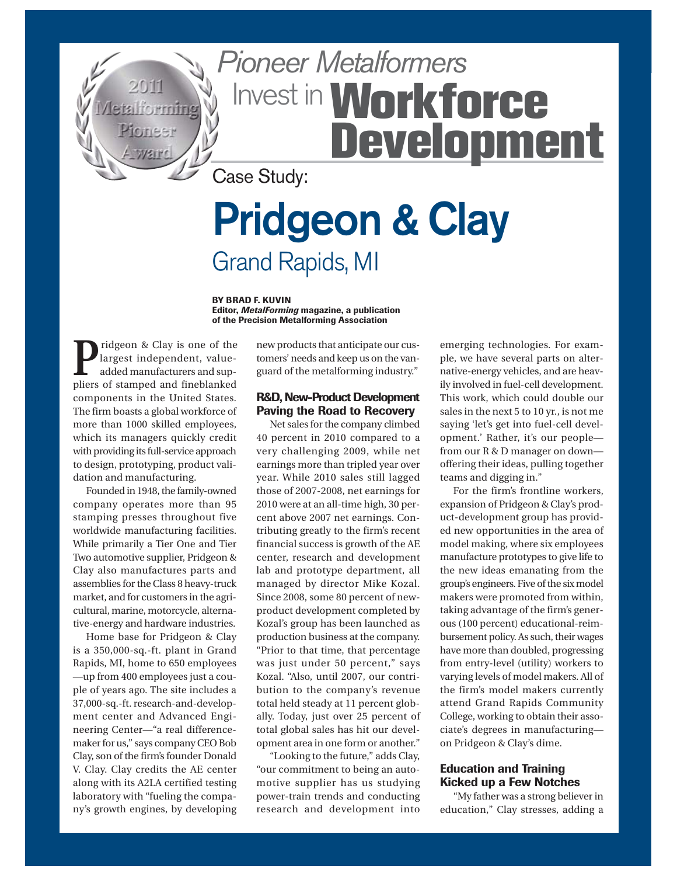

# Pioneer Metalformers Invest in **Workforce Development**

Case Study:

## **Pridgeon & Clay** Grand Rapids, MI

**BY BRAD F. KUVIN Editor,** *MetalForming* **magazine, a publication of the Precision Metalforming Association**

**P**ridgeon & Clay is one of the<br>largest independent, value-<br>added manufacturers and suplargest independent, valueadded manufacturers and suppliers of stamped and fineblanked components in the United States. The firm boasts a global workforce of more than 1000 skilled employees, which its managers quickly credit with providing its full-service approach to design, prototyping, product validation and manufacturing.

Founded in 1948, the family-owned company operates more than 95 stamping presses throughout five worldwide manufacturing facilities. While primarily a Tier One and Tier Two automotive supplier, Pridgeon & Clay also manufactures parts and assemblies for the Class 8 heavy-truck market, and for customers in the agricultural, marine, motorcycle, alternative-energy and hardware industries.

Home base for Pridgeon & Clay is a 350,000-sq.-ft. plant in Grand Rapids, MI, home to 650 employees —up from 400 employees just a couple of years ago. The site includes a 37,000-sq.-ft. research-and-development center and Advanced Engineering Center—"a real differencemaker for us," says company CEO Bob Clay, son of the firm's founder Donald V. Clay. Clay credits the AE center along with its A2LA certified testing laboratory with "fueling the company's growth engines, by developing new products that anticipate our customers' needs and keep us on the vanguard of the metalforming industry."

#### **R&D, New-Product Development Paving the Road to Recovery**

Net sales for the company climbed 40 percent in 2010 compared to a very challenging 2009, while net earnings more than tripled year over year. While 2010 sales still lagged those of 2007-2008, net earnings for 2010 were at an all-time high, 30 percent above 2007 net earnings. Contributing greatly to the firm's recent financial success is growth of the AE center, research and development lab and prototype department, all managed by director Mike Kozal. Since 2008, some 80 percent of newproduct development completed by Kozal's group has been launched as production business at the company. "Prior to that time, that percentage was just under 50 percent," says Kozal. "Also, until 2007, our contribution to the company's revenue total held steady at 11 percent globally. Today, just over 25 percent of total global sales has hit our development area in one form or another."

"Looking to the future," adds Clay, "our commitment to being an automotive supplier has us studying power-train trends and conducting research and development into emerging technologies. For example, we have several parts on alternative-energy vehicles, and are heavily involved in fuel-cell development. This work, which could double our sales in the next 5 to 10 yr., is not me saying 'let's get into fuel-cell development.' Rather, it's our people from our R & D manager on down offering their ideas, pulling together teams and digging in."

For the firm's frontline workers, expansion of Pridgeon & Clay's product-development group has provided new opportunities in the area of model making, where six employees manufacture prototypes to give life to the new ideas emanating from the group's engineers. Five of the six model makers were promoted from within, taking advantage of the firm's generous (100 percent) educational-reimbursement policy. As such, their wages have more than doubled, progressing from entry-level (utility) workers to varying levels of model makers. All of the firm's model makers currently attend Grand Rapids Community College, working to obtain their associate's degrees in manufacturing on Pridgeon & Clay's dime.

#### **Education and Training Kicked up a Few Notches**

"My father was a strong believer in education," Clay stresses, adding a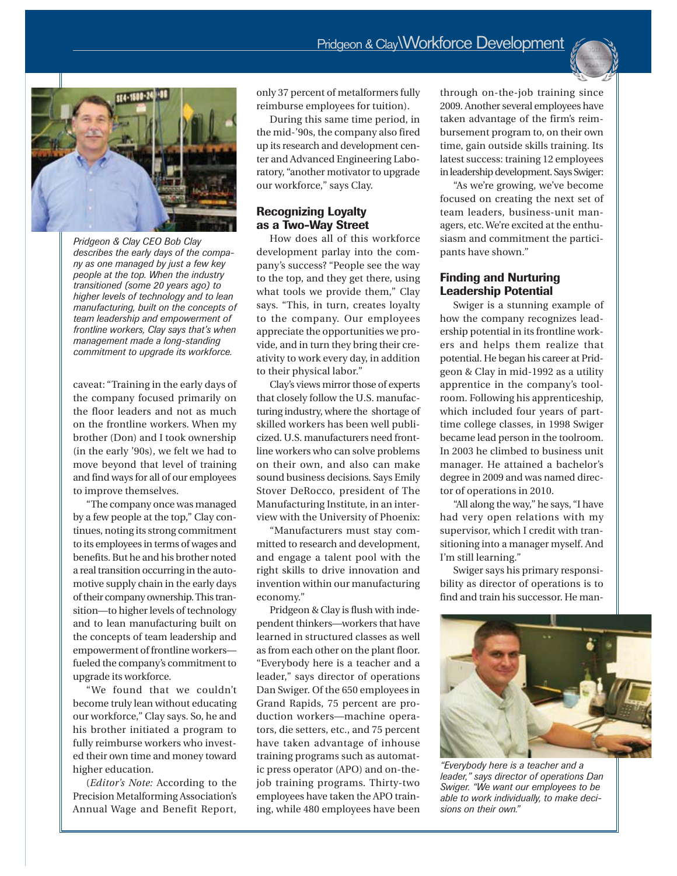

*Pridgeon & Clay CEO Bob Clay describes the early days of the company as one managed by just a few key people at the top. When the industry transitioned (some 20 years ago) to higher levels of technology and to lean manufacturing, built on the concepts of team leadership and empowerment of frontline workers, Clay says that's when management made a long-standing commitment to upgrade its workforce.*

caveat: "Training in the early days of the company focused primarily on the floor leaders and not as much on the frontline workers. When my brother (Don) and I took ownership (in the early '90s), we felt we had to move beyond that level of training and find ways for all of our employees to improve themselves.

"The company once was managed by a few people at the top," Clay continues, noting its strong commitment to its employees in terms of wages and benefits. But he and his brother noted a real transition occurring in the automotive supply chain in the early days of their company ownership. This transition—to higher levels of technology and to lean manufacturing built on the concepts of team leadership and empowerment of frontline workers fueled the company's commitment to upgrade its workforce.

"We found that we couldn't become truly lean without educating our workforce," Clay says. So, he and his brother initiated a program to fully reimburse workers who invested their own time and money toward higher education.

(*Editor's Note:* According to the Precision Metalforming Association's Annual Wage and Benefit Report,

only 37 percent of metalformers fully reimburse employees for tuition).

During this same time period, in the mid-'90s, the company also fired up its research and development center and Advanced Engineering Laboratory, "another motivator to upgrade our workforce," says Clay.

#### **Recognizing Loyalty as a Two-Way Street**

How does all of this workforce development parlay into the company's success? "People see the way to the top, and they get there, using what tools we provide them," Clay says. "This, in turn, creates loyalty to the company. Our employees appreciate the opportunities we provide, and in turn they bring their creativity to work every day, in addition to their physical labor."

Clay's views mirror those of experts that closely follow the U.S. manufacturing industry, where the shortage of skilled workers has been well publicized. U.S. manufacturers need frontline workers who can solve problems on their own, and also can make sound business decisions. Says Emily Stover DeRocco, president of The Manufacturing Institute, in an interview with the University of Phoenix:

"Manufacturers must stay committed to research and development, and engage a talent pool with the right skills to drive innovation and invention within our manufacturing economy."

Pridgeon & Clay is flush with independent thinkers—workers that have learned in structured classes as well as from each other on the plant floor. "Everybody here is a teacher and a leader," says director of operations Dan Swiger. Of the 650 employees in Grand Rapids, 75 percent are production workers—machine operators, die setters, etc., and 75 percent have taken advantage of inhouse training programs such as automatic press operator (APO) and on-thejob training programs. Thirty-two employees have taken the APO training, while 480 employees have been through on-the-job training since 2009. Another several employees have taken advantage of the firm's reimbursement program to, on their own time, gain outside skills training. Its latest success: training 12 employees in leadership development. Says Swiger:

"As we're growing, we've become focused on creating the next set of team leaders, business-unit managers, etc. We're excited at the enthusiasm and commitment the participants have shown."

#### **Finding and Nurturing Leadership Potential**

Swiger is a stunning example of how the company recognizes leadership potential in its frontline workers and helps them realize that potential. He began his career at Pridgeon & Clay in mid-1992 as a utility apprentice in the company's toolroom. Following his apprenticeship, which included four years of parttime college classes, in 1998 Swiger became lead person in the toolroom. In 2003 he climbed to business unit manager. He attained a bachelor's degree in 2009 and was named director of operations in 2010.

"All along the way," he says, "I have had very open relations with my supervisor, which I credit with transitioning into a manager myself. And I'm still learning."

Swiger says his primary responsibility as director of operations is to find and train his successor. He man-



*"Everybody here is a teacher and a leader," says director of operations Dan Swiger. "We want our employees to be able to work individually, to make decisions on their own."*

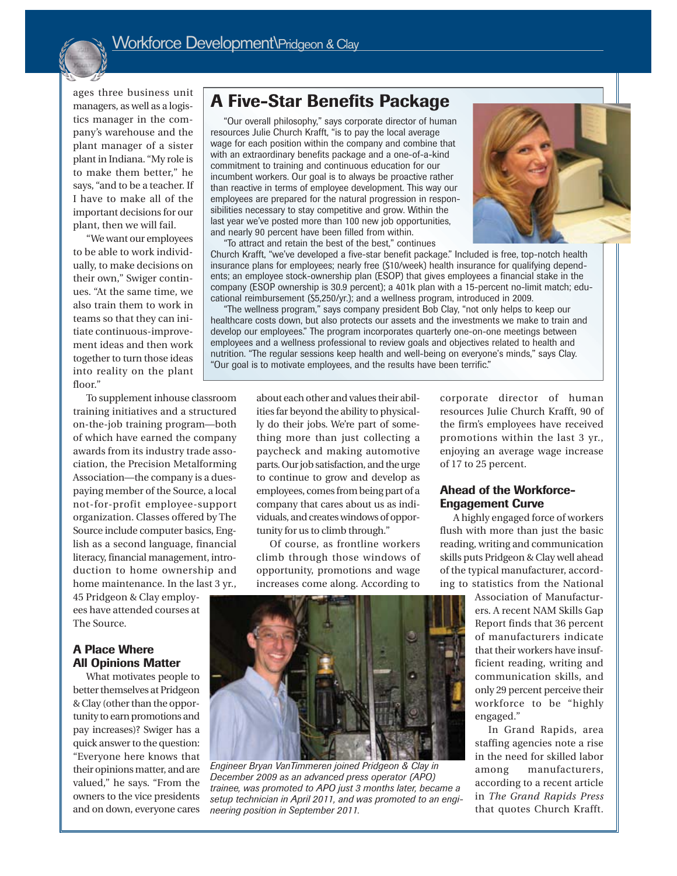

ages three business unit managers, as well as a logistics manager in the company's warehouse and the plant manager of a sister plant in Indiana. "My role is to make them better," he says, "and to be a teacher. If I have to make all of the important decisions for our plant, then we will fail.

"We want our employees to be able to work individually, to make decisions on their own," Swiger continues. "At the same time, we also train them to work in teams so that they can initiate continuous-improvement ideas and then work together to turn those ideas into reality on the plant floor."

## **A Five-Star Benefits Package**

"Our overall philosophy," says corporate director of human resources Julie Church Krafft, "is to pay the local average wage for each position within the company and combine that with an extraordinary benefits package and a one-of-a-kind commitment to training and continuous education for our incumbent workers. Our goal is to always be proactive rather than reactive in terms of employee development. This way our employees are prepared for the natural progression in responsibilities necessary to stay competitive and grow. Within the last year we've posted more than 100 new job opportunities, and nearly 90 percent have been filled from within.



"To attract and retain the best of the best," continues Church Krafft, "we've developed a five-star benefit package." Included is free, top-notch health insurance plans for employees; nearly free (\$10/week) health insurance for qualifying dependents; an employee stock-ownership plan (ESOP) that gives employees a financial stake in the company (ESOP ownership is 30.9 percent); a 401k plan with a 15-percent no-limit match; educational reimbursement (\$5,250/yr.); and a wellness program, introduced in 2009.

"The wellness program," says company president Bob Clay, "not only helps to keep our healthcare costs down, but also protects our assets and the investments we make to train and develop our employees." The program incorporates quarterly one-on-one meetings between employees and a wellness professional to review goals and objectives related to health and nutrition. "The regular sessions keep health and well-being on everyone's minds," says Clay. "Our goal is to motivate employees, and the results have been terrific."

To supplement inhouse classroom training initiatives and a structured on-the-job training program—both of which have earned the company awards from its industry trade association, the Precision Metalforming Association—the company is a duespaying member of the Source, a local not-for-profit employee-support organization. Classes offered by The Source include computer basics, English as a second language, financial literacy, financial management, introduction to home ownership and home maintenance. In the last 3 yr.,

45 Pridgeon & Clay employees have attended courses at The Source.

#### **A Place Where All Opinions Matter**

What motivates people to better themselves at Pridgeon & Clay (other than the opportunity to earn promotions and pay increases)? Swiger has a quick answer to the question: "Everyone here knows that their opinions matter, and are valued," he says. "From the owners to the vice presidents and on down, everyone cares

about each other and values their abilities far beyond the ability to physically do their jobs. We're part of something more than just collecting a paycheck and making automotive parts. Our job satisfaction, and the urge to continue to grow and develop as employees, comes from being part of a company that cares about us as individuals, and creates windows of opportunity for us to climb through."

Of course, as frontline workers climb through those windows of opportunity, promotions and wage increases come along. According to



#### **Ahead of the Workforce-Engagement Curve**

A highly engaged force of workers flush with more than just the basic reading, writing and communication skills puts Pridgeon & Clay well ahead of the typical manufacturer, according to statistics from the National

> Association of Manufacturers. A recent NAM Skills Gap Report finds that 36 percent of manufacturers indicate that their workers have insufficient reading, writing and communication skills, and only 29 percent perceive their workforce to be "highly engaged."

> In Grand Rapids, area staffing agencies note a rise in the need for skilled labor among manufacturers, according to a recent article in *The Grand Rapids Press* that quotes Church Krafft.



*Engineer Bryan VanTimmeren joined Pridgeon & Clay in December 2009 as an advanced press operator (APO) trainee, was promoted to APO just 3 months later, became a setup technician in April 2011, and was promoted to an engineering position in September 2011.*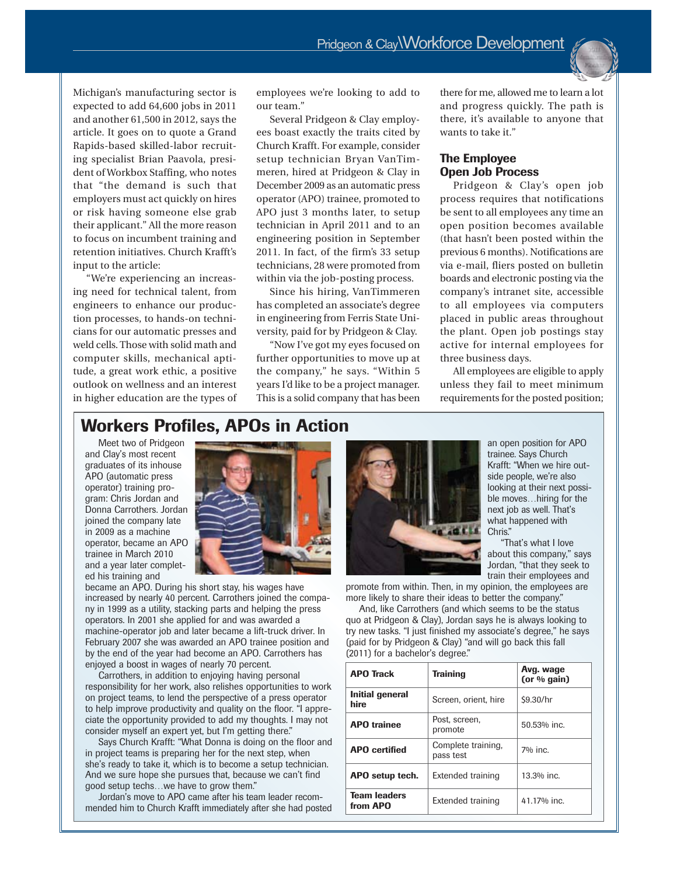Michigan's manufacturing sector is expected to add 64,600 jobs in 2011 and another 61,500 in 2012, says the article. It goes on to quote a Grand Rapids-based skilled-labor recruiting specialist Brian Paavola, president of Workbox Staffing, who notes that "the demand is such that employers must act quickly on hires or risk having someone else grab their applicant." All the more reason to focus on incumbent training and retention initiatives. Church Krafft's input to the article:

"We're experiencing an increasing need for technical talent, from engineers to enhance our production processes, to hands-on technicians for our automatic presses and weld cells. Those with solid math and computer skills, mechanical aptitude, a great work ethic, a positive outlook on wellness and an interest in higher education are the types of employees we're looking to add to our team."

Several Pridgeon & Clay employees boast exactly the traits cited by Church Krafft. For example, consider setup technician Bryan VanTimmeren, hired at Pridgeon & Clay in December 2009 as an automatic press operator (APO) trainee, promoted to APO just 3 months later, to setup technician in April 2011 and to an engineering position in September 2011. In fact, of the firm's 33 setup technicians, 28 were promoted from within via the job-posting process.

Since his hiring, VanTimmeren has completed an associate's degree in engineering from Ferris State University, paid for by Pridgeon & Clay.

"Now I've got my eyes focused on further opportunities to move up at the company," he says. "Within 5 years I'd like to be a project manager. This is a solid company that has been there for me, allowed me to learn a lot and progress quickly. The path is there, it's available to anyone that wants to take it."

#### **The Employee Open Job Process**

Pridgeon & Clay's open job process requires that notifications be sent to all employees any time an open position becomes available (that hasn't been posted within the previous 6 months). Notifications are via e-mail, fliers posted on bulletin boards and electronic posting via the company's intranet site, accessible to all employees via computers placed in public areas throughout the plant. Open job postings stay active for internal employees for three business days.

All employees are eligible to apply unless they fail to meet minimum requirements for the posted position;

### **Workers Profiles, APOs in Action**

Meet two of Pridgeon and Clay's most recent graduates of its inhouse APO (automatic press operator) training program: Chris Jordan and Donna Carrothers. Jordan joined the company late in 2009 as a machine operator, became an APO trainee in March 2010 and a year later completed his training and



became an APO. During his short stay, his wages have increased by nearly 40 percent. Carrothers joined the company in 1999 as a utility, stacking parts and helping the press operators. In 2001 she applied for and was awarded a machine-operator job and later became a lift-truck driver. In February 2007 she was awarded an APO trainee position and by the end of the year had become an APO. Carrothers has enjoyed a boost in wages of nearly 70 percent.

Carrothers, in addition to enjoying having personal responsibility for her work, also relishes opportunities to work on project teams, to lend the perspective of a press operator to help improve productivity and quality on the floor. "I appreciate the opportunity provided to add my thoughts. I may not consider myself an expert yet, but I'm getting there."

Says Church Krafft: "What Donna is doing on the floor and in project teams is preparing her for the next step, when she's ready to take it, which is to become a setup technician. And we sure hope she pursues that, because we can't find good setup techs…we have to grow them."

Jordan's move to APO came after his team leader recommended him to Church Krafft immediately after she had posted



an open position for APO trainee. Says Church Krafft: "When we hire outside people, we're also looking at their next possible moves…hiring for the next job as well. That's what happened with Chris."

"That's what I love about this company," says Jordan, "that they seek to train their employees and

promote from within. Then, in my opinion, the employees are more likely to share their ideas to better the company."

And, like Carrothers (and which seems to be the status quo at Pridgeon & Clay), Jordan says he is always looking to try new tasks. "I just finished my associate's degree," he says (paid for by Pridgeon & Clay) "and will go back this fall (2011) for a bachelor's degree."

| <b>APO Track</b>                | <b>Training</b>                 | Avg. wage<br>(or $%$ gain) |
|---------------------------------|---------------------------------|----------------------------|
| Initial general<br>hire         | Screen, orient, hire            | \$9.30/hr                  |
| <b>APO</b> trainee              | Post, screen,<br>promote        | 50.53% inc.                |
| <b>APO</b> certified            | Complete training,<br>pass test | $7%$ inc.                  |
| APO setup tech.                 | Extended training               | 13.3% inc.                 |
| <b>Team leaders</b><br>from APO | Extended training               | 41.17% inc.                |